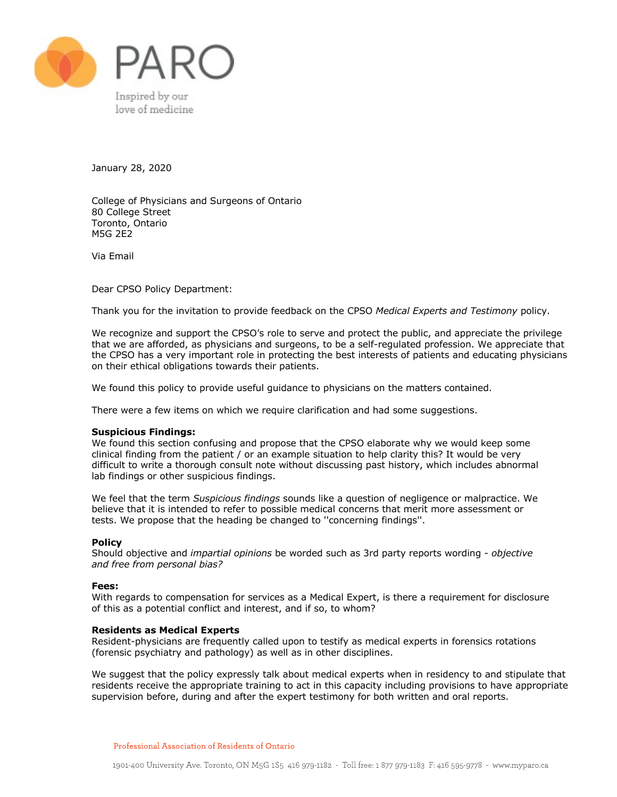

January 28, 2020

College of Physicians and Surgeons of Ontario 80 College Street Toronto, Ontario M5G 2E2

Via Email

Dear CPSO Policy Department:

Thank you for the invitation to provide feedback on the CPSO *Medical Experts and Testimony* policy.

We recognize and support the CPSO's role to serve and protect the public, and appreciate the privilege that we are afforded, as physicians and surgeons, to be a self-regulated profession. We appreciate that the CPSO has a very important role in protecting the best interests of patients and educating physicians on their ethical obligations towards their patients.

We found this policy to provide useful guidance to physicians on the matters contained.

There were a few items on which we require clarification and had some suggestions.

# **Suspicious Findings:**

We found this section confusing and propose that the CPSO elaborate why we would keep some clinical finding from the patient / or an example situation to help clarity this? It would be very difficult to write a thorough consult note without discussing past history, which includes abnormal lab findings or other suspicious findings.

We feel that the term *Suspicious findings* sounds like a question of negligence or malpractice. We believe that it is intended to refer to possible medical concerns that merit more assessment or tests. We propose that the heading be changed to ''concerning findings''.

## **Policy**

Should objective and *impartial opinions* be worded such as 3rd party reports wording - *objective and free from personal bias?*

## **Fees:**

With regards to compensation for services as a Medical Expert, is there a requirement for disclosure of this as a potential conflict and interest, and if so, to whom?

#### **Residents as Medical Experts**

Resident-physicians are frequently called upon to testify as medical experts in forensics rotations (forensic psychiatry and pathology) as well as in other disciplines.

We suggest that the policy expressly talk about medical experts when in residency to and stipulate that residents receive the appropriate training to act in this capacity including provisions to have appropriate supervision before, during and after the expert testimony for both written and oral reports.